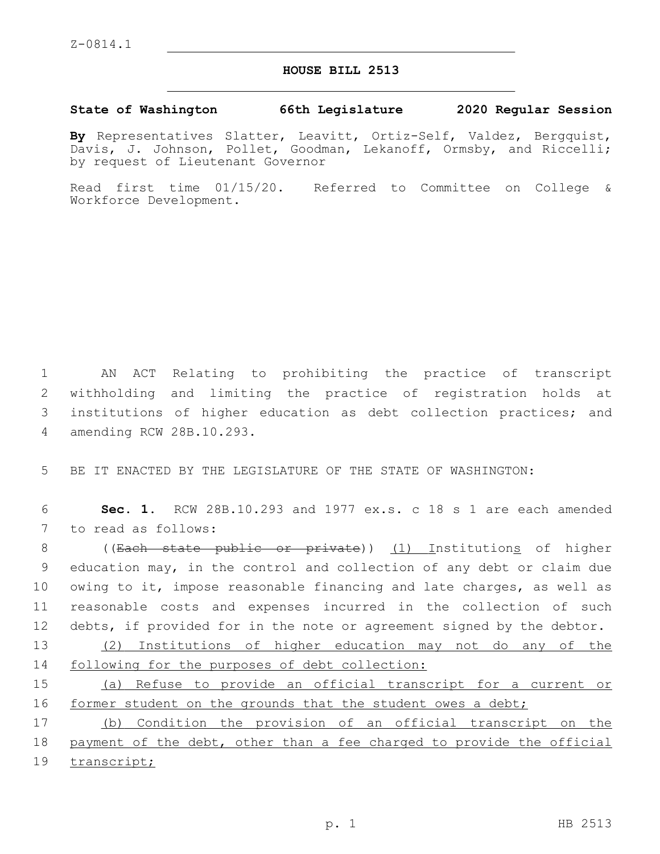## **HOUSE BILL 2513**

## **State of Washington 66th Legislature 2020 Regular Session**

**By** Representatives Slatter, Leavitt, Ortiz-Self, Valdez, Bergquist, Davis, J. Johnson, Pollet, Goodman, Lekanoff, Ormsby, and Riccelli; by request of Lieutenant Governor

Read first time 01/15/20. Referred to Committee on College & Workforce Development.

 AN ACT Relating to prohibiting the practice of transcript withholding and limiting the practice of registration holds at institutions of higher education as debt collection practices; and amending RCW 28B.10.293.4

5 BE IT ENACTED BY THE LEGISLATURE OF THE STATE OF WASHINGTON:

6 **Sec. 1.** RCW 28B.10.293 and 1977 ex.s. c 18 s 1 are each amended 7 to read as follows:

 ((Each state public or private)) (1) Institutions of higher education may, in the control and collection of any debt or claim due owing to it, impose reasonable financing and late charges, as well as reasonable costs and expenses incurred in the collection of such debts, if provided for in the note or agreement signed by the debtor.

13 (2) Institutions of higher education may not do any of the 14 following for the purposes of debt collection:

15 (a) Refuse to provide an official transcript for a current or 16 former student on the grounds that the student owes a debt;

17 (b) Condition the provision of an official transcript on the 18 payment of the debt, other than a fee charged to provide the official 19 transcript;